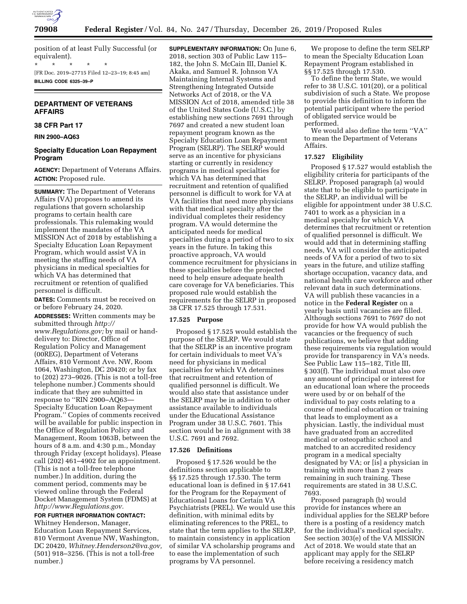

position of at least Fully Successful (or equivalent). \* \* \* \* \*

[FR Doc. 2019–27715 Filed 12–23–19; 8:45 am] **BILLING CODE 6325–39–P** 

# **DEPARTMENT OF VETERANS AFFAIRS**

# **38 CFR Part 17**

**RIN 2900–AQ63** 

# **Specialty Education Loan Repayment Program**

**AGENCY:** Department of Veterans Affairs. **ACTION:** Proposed rule.

**SUMMARY:** The Department of Veterans Affairs (VA) proposes to amend its regulations that govern scholarship programs to certain health care professionals. This rulemaking would implement the mandates of the VA MISSION Act of 2018 by establishing a Specialty Education Loan Repayment Program, which would assist VA in meeting the staffing needs of VA physicians in medical specialties for which VA has determined that recruitment or retention of qualified personnel is difficult.

**DATES:** Comments must be received on or before February 24, 2020.

**ADDRESSES:** Written comments may be submitted through *[http://](http://www.Regulations.gov) [www.Regulations.gov;](http://www.Regulations.gov)* by mail or handdelivery to: Director, Office of Regulation Policy and Management (00REG), Department of Veterans Affairs, 810 Vermont Ave. NW, Room 1064, Washington, DC 20420; or by fax to (202) 273–9026. (This is not a toll-free telephone number.) Comments should indicate that they are submitted in response to ''RIN 2900–AQ63— Specialty Education Loan Repayment Program.'' Copies of comments received will be available for public inspection in the Office of Regulation Policy and Management, Room 1063B, between the hours of 8 a.m. and 4:30 p.m., Monday through Friday (except holidays). Please call (202) 461–4902 for an appointment. (This is not a toll-free telephone number.) In addition, during the comment period, comments may be viewed online through the Federal Docket Management System (FDMS) at *[http://www.Regulations.gov.](http://www.Regulations.gov)* 

**FOR FURTHER INFORMATION CONTACT:**  Whitney Henderson, Manager, Education Loan Repayment Services, 810 Vermont Avenue NW, Washington, DC 20420, *[Whitney.Henderson2@va.gov,](mailto:Whitney.Henderson2@va.gov)*  (501) 918–3256. (This is not a toll-free number.)

**SUPPLEMENTARY INFORMATION:** On June 6, 2018, section 303 of Public Law 115– 182, the John S. McCain III, Daniel K. Akaka, and Samuel R. Johnson VA Maintaining Internal Systems and Strengthening Integrated Outside Networks Act of 2018, or the VA MISSION Act of 2018, amended title 38 of the United States Code (U.S.C.) by establishing new sections 7691 through 7697 and created a new student loan repayment program known as the Specialty Education Loan Repayment Program (SELRP). The SELRP would serve as an incentive for physicians starting or currently in residency programs in medical specialties for which VA has determined that recruitment and retention of qualified personnel is difficult to work for VA at VA facilities that need more physicians with that medical specialty after the individual completes their residency program. VA would determine the anticipated needs for medical specialties during a period of two to six years in the future. In taking this proactive approach, VA would commence recruitment for physicians in these specialties before the projected need to help ensure adequate health care coverage for VA beneficiaries. This proposed rule would establish the requirements for the SELRP in proposed 38 CFR 17.525 through 17.531.

## **17.525 Purpose**

Proposed § 17.525 would establish the purpose of the SELRP. We would state that the SELRP is an incentive program for certain individuals to meet VA's need for physicians in medical specialties for which VA determines that recruitment and retention of qualified personnel is difficult. We would also state that assistance under the SELRP may be in addition to other assistance available to individuals under the Educational Assistance Program under 38 U.S.C. 7601. This section would be in alignment with 38 U.S.C. 7691 and 7692.

### **17.526 Definitions**

Proposed § 17.526 would be the definitions section applicable to §§ 17.525 through 17.530. The term educational loan is defined in § 17.641 for the Program for the Repayment of Educational Loans for Certain VA Psychiatrists (PREL). We would use this definition, with minimal edits by eliminating references to the PREL, to state that the term applies to the SELRP, to maintain consistency in application of similar VA scholarship programs and to ease the implementation of such programs by VA personnel.

We propose to define the term SELRP to mean the Specialty Education Loan Repayment Program established in §§ 17.525 through 17.530.

To define the term State, we would refer to 38 U.S.C. 101(20), or a political subdivision of such a State. We propose to provide this definition to inform the potential participant where the period of obligated service would be performed.

We would also define the term ''VA'' to mean the Department of Veterans Affairs.

# **17.527 Eligibility**

Proposed § 17.527 would establish the eligibility criteria for participants of the SELRP. Proposed paragraph (a) would state that to be eligible to participate in the SELRP, an individual will be eligible for appointment under 38 U.S.C. 7401 to work as a physician in a medical specialty for which VA determines that recruitment or retention of qualified personnel is difficult. We would add that in determining staffing needs, VA will consider the anticipated needs of VA for a period of two to six years in the future, and utilize staffing shortage occupation, vacancy data, and national health care workforce and other relevant data in such determinations. VA will publish these vacancies in a notice in the **Federal Register** on a yearly basis until vacancies are filled. Although sections 7691 to 7697 do not provide for how VA would publish the vacancies or the frequency of such publications, we believe that adding these requirements via regulation would provide for transparency in VA's needs. See Public Law 115–182, Title III, § 303(f). The individual must also owe any amount of principal or interest for an educational loan where the proceeds were used by or on behalf of the individual to pay costs relating to a course of medical education or training that leads to employment as a physician. Lastly, the individual must have graduated from an accredited medical or osteopathic school and matched to an accredited residency program in a medical specialty designated by VA; or [is] a physician in training with more than 2 years remaining in such training. These requirements are stated in 38 U.S.C. 7693.

Proposed paragraph (b) would provide for instances where an individual applies for the SELRP before there is a posting of a residency match for the individual's medical specialty. See section 303(e) of the VA MISSION Act of 2018. We would state that an applicant may apply for the SELRP before receiving a residency match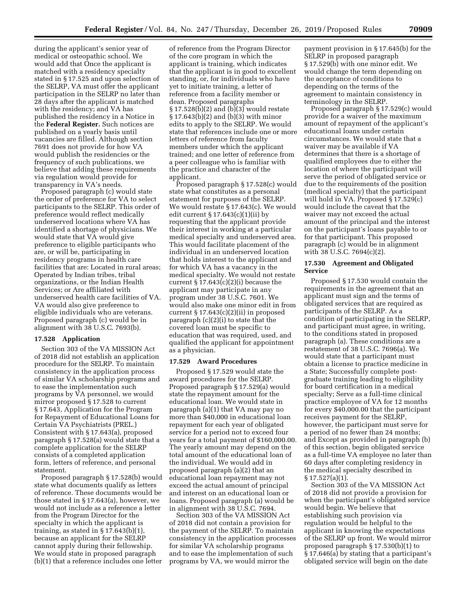during the applicant's senior year of medical or osteopathic school. We would add that Once the applicant is matched with a residency specialty stated in § 17.525 and upon selection of the SELRP, VA must offer the applicant participation in the SELRP no later than 28 days after the applicant is matched with the residency; and VA has published the residency in a Notice in the **Federal Register.** Such notices are published on a yearly basis until vacancies are filled. Although section 7691 does not provide for how VA would publish the residencies or the frequency of such publications, we believe that adding these requirements via regulation would provide for transparency in VA's needs.

Proposed paragraph (c) would state the order of preference for VA to select participants to the SELRP. This order of preference would reflect medically underserved locations where VA has identified a shortage of physicians. We would state that VA would give preference to eligible participants who are, or will be, participating in residency programs in health care facilities that are: Located in rural areas; Operated by Indian tribes, tribal organizations, or the Indian Health Services; or Are affiliated with underserved health care facilities of VA. VA would also give preference to eligible individuals who are veterans. Proposed paragraph (c) would be in alignment with 38 U.S.C. 7693(b).

## **17.528 Application**

Section 303 of the VA MISSION Act of 2018 did not establish an application procedure for the SELRP. To maintain consistency in the application process of similar VA scholarship programs and to ease the implementation such programs by VA personnel, we would mirror proposed § 17.528 to current § 17.643, Application for the Program for Repayment of Educational Loans for Certain VA Psychiatrists (PREL.) Consistent with § 17.643(a), proposed paragraph § 17.528(a) would state that a complete application for the SELRP consists of a completed application form, letters of reference, and personal statement.

Proposed paragraph § 17.528(b) would state what documents qualify as letters of reference. These documents would be those stated in § 17.643(a), however, we would not include as a reference a letter from the Program Director for the specialty in which the applicant is training, as stated in  $\S 17.643(b)(1)$ because an applicant for the SELRP cannot apply during their fellowship. We would state in proposed paragraph (b)(1) that a reference includes one letter

of reference from the Program Director of the core program in which the applicant is training, which indicates that the applicant is in good to excellent standing, or, for individuals who have yet to initiate training, a letter of reference from a facility member or dean. Proposed paragraphs § 17.528(b)(2) and (b)(3) would restate § 17.643(b)(2) and (b)(3) with minor edits to apply to the SELRP. We would state that references include one or more letters of reference from faculty members under which the applicant trained; and one letter of reference from a peer colleague who is familiar with the practice and character of the applicant.

Proposed paragraph § 17.528(c) would state what constitutes as a personal statement for purposes of the SELRP. We would restate § 17.643(c). We would edit current § 17.643(c)(1)(ii) by requesting that the applicant provide their interest in working at a particular medical specialty and underserved area. This would facilitate placement of the individual in an underserved location that holds interest to the applicant and for which VA has a vacancy in the medical specialty. We would not restate current  $\S 17.643(c)(2)(i)$  because the applicant may participate in any program under 38 U.S.C. 7601. We would also make one minor edit in from current  $§ 17.643(c)(2)(ii)$  in proposed paragraph (c)(2)(i) to state that the covered loan must be specific to education that was required, used, and qualified the applicant for appointment as a physician.

### **17.529 Award Procedures**

Proposed § 17.529 would state the award procedures for the SELRP. Proposed paragraph § 17.529(a) would state the repayment amount for the educational loan. We would state in paragraph (a)(1) that VA may pay no more than \$40,000 in educational loan repayment for each year of obligated service for a period not to exceed four years for a total payment of \$160,000.00. The yearly amount may depend on the total amount of the educational loan of the individual. We would add in proposed paragraph (a)(2) that an educational loan repayment may not exceed the actual amount of principal and interest on an educational loan or loans. Proposed paragraph (a) would be in alignment with 38 U.S.C. 7694.

Section 303 of the VA MISSION Act of 2018 did not contain a provision for the payment of the SELRP. To maintain consistency in the application processes for similar VA scholarship programs and to ease the implementation of such programs by VA, we would mirror the

payment provision in § 17.645(b) for the SELRP in proposed paragraph § 17.529(b) with one minor edit. We would change the term depending on the acceptance of conditions to depending on the terms of the agreement to maintain consistency in terminology in the SELRP.

Proposed paragraph § 17.529(c) would provide for a waiver of the maximum amount of repayment of the applicant's educational loans under certain circumstances. We would state that a waiver may be available if VA determines that there is a shortage of qualified employees due to either the location of where the participant will serve the period of obligated service or due to the requirements of the position (medical specialty) that the participant will hold in VA. Proposed § 17.529(c) would include the caveat that the waiver may not exceed the actual amount of the principal and the interest on the participant's loans payable to or for that participant. This proposed paragraph (c) would be in alignment with 38 U.S.C. 7694(c)(2).

# **17.530 Agreement and Obligated Service**

Proposed § 17.530 would contain the requirements in the agreement that an applicant must sign and the terms of obligated services that are required as participants of the SELRP. As a condition of participating in the SELRP, and participant must agree, in writing, to the conditions stated in proposed paragraph (a). These conditions are a restatement of 38 U.S.C. 7696(a). We would state that a participant must obtain a license to practice medicine in a State; Successfully complete postgraduate training leading to eligibility for board certification in a medical specialty; Serve as a full-time clinical practice employee of VA for 12 months for every \$40,000.00 that the participant receives payment for the SELRP, however, the participant must serve for a period of no fewer than 24 months; and Except as provided in paragraph (b) of this section, begin obligated service as a full-time VA employee no later than 60 days after completing residency in the medical specialty described in § 17.527(a)(1).

Section 303 of the VA MISSION Act of 2018 did not provide a provision for when the participant's obligated service would begin. We believe that establishing such provision via regulation would be helpful to the applicant in knowing the expectations of the SELRP up front. We would mirror proposed paragraph § 17.530(b)(1) to § 17.646(a) by stating that a participant's obligated service will begin on the date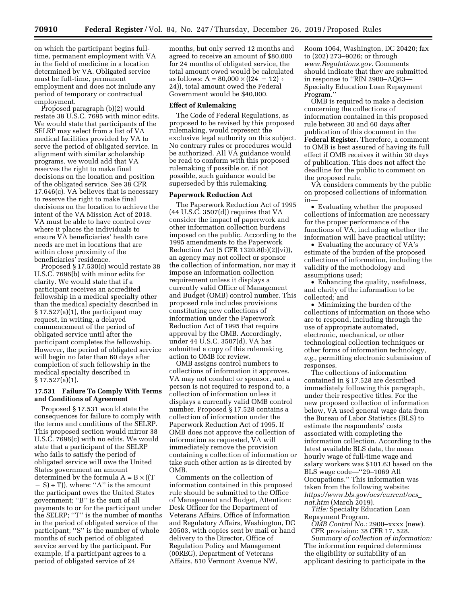on which the participant begins fulltime, permanent employment with VA in the field of medicine in a location determined by VA. Obligated service must be full-time, permanent employment and does not include any period of temporary or contractual employment.

Proposed paragraph (b)(2) would restate 38 U.S.C. 7695 with minor edits. We would state that participants of the SELRP may select from a list of VA medical facilities provided by VA to serve the period of obligated service. In alignment with similar scholarship programs, we would add that VA reserves the right to make final decisions on the location and position of the obligated service. See 38 CFR 17.646(c). VA believes that is necessary to reserve the right to make final decisions on the location to achieve the intent of the VA Mission Act of 2018. VA must be able to have control over where it places the individuals to ensure VA beneficiaries' health care needs are met in locations that are within close proximity of the beneficiaries' residence.

Proposed § 17.530(c) would restate 38 U.S.C. 7696(b) with minor edits for clarity. We would state that if a participant receives an accredited fellowship in a medical specialty other than the medical specialty described in  $\S 17.527(a)(1)$ , the participant may request, in writing, a delayed commencement of the period of obligated service until after the participant completes the fellowship. However, the period of obligated service will begin no later than 60 days after completion of such fellowship in the medical specialty described in § 17.527(a)(1).

# **17.531 Failure To Comply With Terms and Conditions of Agreement**

Proposed § 17.531 would state the consequences for failure to comply with the terms and conditions of the SELRP. This proposed section would mirror 38 U.S.C. 7696(c) with no edits. We would state that a participant of the SELRP who fails to satisfy the period of obligated service will owe the United States government an amount determined by the formula  $A = B \times ((T$  $(-S) + T$ ), where: "A" is the amount the participant owes the United States government; ''B'' is the sum of all payments to or for the participant under the SELRP; ''T'' is the number of months in the period of obligated service of the participant; ''S'' is the number of whole months of such period of obligated service served by the participant. For example, if a participant agrees to a period of obligated service of 24

months, but only served 12 months and agreed to receive an amount of \$80,000 for 24 months of obligated service, the total amount owed would be calculated as follows:  $A = 80,000 \times ((24 - 12) \div$ 24)), total amount owed the Federal Government would be \$40,000.

# **Effect of Rulemaking**

The Code of Federal Regulations, as proposed to be revised by this proposed rulemaking, would represent the exclusive legal authority on this subject. No contrary rules or procedures would be authorized. All VA guidance would be read to conform with this proposed rulemaking if possible or, if not possible, such guidance would be superseded by this rulemaking.

## **Paperwork Reduction Act**

The Paperwork Reduction Act of 1995  $(44$  U.S.C. 3507 $(d)$ ) requires that VA consider the impact of paperwork and other information collection burdens imposed on the public. According to the 1995 amendments to the Paperwork Reduction Act (5 CFR 1320.8(b)(2)(vi)), an agency may not collect or sponsor the collection of information, nor may it impose an information collection requirement unless it displays a currently valid Office of Management and Budget (OMB) control number. This proposed rule includes provisions constituting new collections of information under the Paperwork Reduction Act of 1995 that require approval by the OMB. Accordingly, under 44 U.S.C. 3507(d), VA has submitted a copy of this rulemaking action to OMB for review.

OMB assigns control numbers to collections of information it approves. VA may not conduct or sponsor, and a person is not required to respond to, a collection of information unless it displays a currently valid OMB control number. Proposed § 17.528 contains a collection of information under the Paperwork Reduction Act of 1995. If OMB does not approve the collection of information as requested, VA will immediately remove the provision containing a collection of information or take such other action as is directed by OMB.

Comments on the collection of information contained in this proposed rule should be submitted to the Office of Management and Budget, Attention: Desk Officer for the Department of Veterans Affairs, Office of Information and Regulatory Affairs, Washington, DC 20503, with copies sent by mail or hand delivery to the Director, Office of Regulation Policy and Management (00REG), Department of Veterans Affairs, 810 Vermont Avenue NW,

Room 1064, Washington, DC 20420; fax to (202) 273–9026; or through *[www.Regulations.gov.](http://www.Regulations.gov)* Comments should indicate that they are submitted in response to ''RIN 2900–AQ63— Specialty Education Loan Repayment Program.''

OMB is required to make a decision concerning the collections of information contained in this proposed rule between 30 and 60 days after publication of this document in the **Federal Register.** Therefore, a comment to OMB is best assured of having its full effect if OMB receives it within 30 days of publication. This does not affect the deadline for the public to comment on the proposed rule.

VA considers comments by the public on proposed collections of information in—

• Evaluating whether the proposed collections of information are necessary for the proper performance of the functions of VA, including whether the information will have practical utility;

• Evaluating the accuracy of VA's estimate of the burden of the proposed collections of information, including the validity of the methodology and assumptions used;

• Enhancing the quality, usefulness, and clarity of the information to be collected; and

• Minimizing the burden of the collections of information on those who are to respond, including through the use of appropriate automated, electronic, mechanical, or other technological collection techniques or other forms of information technology, *e.g.,* permitting electronic submission of responses.

The collections of information contained in § 17.528 are described immediately following this paragraph, under their respective titles. For the new proposed collection of information below, VA used general wage data from the Bureau of Labor Statistics (BLS) to estimate the respondents' costs associated with completing the information collection. According to the latest available BLS data, the mean hourly wage of full-time wage and salary workers was \$101.63 based on the BLS wage code—''29–1069 All Occupations.'' This information was taken from the following website: *[https://www.bls.gov/oes/current/oes](https://www.bls.gov/oes/current/oes_nat.htm)*\_ *[nat.htm](https://www.bls.gov/oes/current/oes_nat.htm)* (March 2019).

*Title:* Specialty Education Loan Repayment Program.

*OMB Control No.:* 2900–xxxx (new). CFR provision: 38 CFR 17. 528.

*Summary of collection of information:*  The information required determines the eligibility or suitability of an applicant desiring to participate in the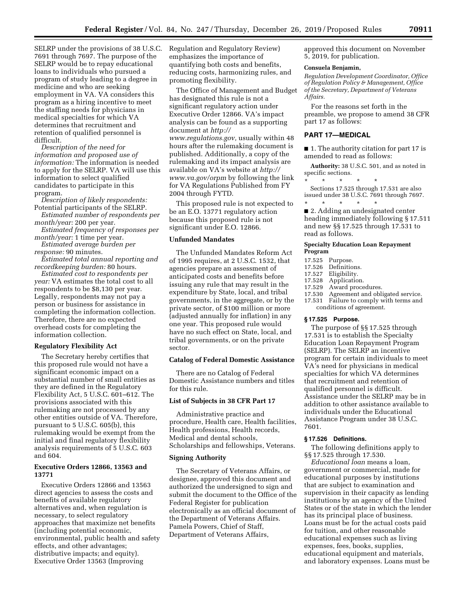SELRP under the provisions of 38 U.S.C. 7691 through 7697. The purpose of the SELRP would be to repay educational loans to individuals who pursued a program of study leading to a degree in medicine and who are seeking employment in VA. VA considers this program as a hiring incentive to meet the staffing needs for physicians in medical specialties for which VA determines that recruitment and retention of qualified personnel is difficult.

*Description of the need for information and proposed use of information:* The information is needed to apply for the SELRP. VA will use this information to select qualified candidates to participate in this program.

*Description of likely respondents:*  Potential participants of the SELRP.

*Estimated number of respondents per month/year:* 200 per year.

*Estimated frequency of responses per month/year:* 1 time per year.

*Estimated average burden per response:* 90 minutes.

*Estimated total annual reporting and recordkeeping burden:* 80 hours.

*Estimated cost to respondents per year:* VA estimates the total cost to all respondents to be \$8,130 per year. Legally, respondents may not pay a person or business for assistance in completing the information collection. Therefore, there are no expected overhead costs for completing the information collection.

# **Regulatory Flexibility Act**

The Secretary hereby certifies that this proposed rule would not have a significant economic impact on a substantial number of small entities as they are defined in the Regulatory Flexibility Act, 5 U.S.C. 601–612. The provisions associated with this rulemaking are not processed by any other entities outside of VA. Therefore, pursuant to 5 U.S.C. 605(b), this rulemaking would be exempt from the initial and final regulatory flexibility analysis requirements of 5 U.S.C. 603 and 604.

# **Executive Orders 12866, 13563 and 13771**

Executive Orders 12866 and 13563 direct agencies to assess the costs and benefits of available regulatory alternatives and, when regulation is necessary, to select regulatory approaches that maximize net benefits (including potential economic, environmental, public health and safety effects, and other advantages; distributive impacts; and equity). Executive Order 13563 (Improving

Regulation and Regulatory Review) emphasizes the importance of quantifying both costs and benefits, reducing costs, harmonizing rules, and promoting flexibility.

The Office of Management and Budget has designated this rule is not a significant regulatory action under Executive Order 12866. VA's impact analysis can be found as a supporting document at *[http://](http://www.regulations.gov) [www.regulations.gov,](http://www.regulations.gov)* usually within 48 hours after the rulemaking document is published. Additionally, a copy of the rulemaking and its impact analysis are available on VA's website at *[http://](http://www.va.gov/orpm) [www.va.gov/orpm](http://www.va.gov/orpm)* by following the link for VA Regulations Published from FY

This proposed rule is not expected to be an E.O. 13771 regulatory action because this proposed rule is not significant under E.O. 12866.

## **Unfunded Mandates**

2004 through FYTD.

The Unfunded Mandates Reform Act of 1995 requires, at 2 U.S.C. 1532, that agencies prepare an assessment of anticipated costs and benefits before issuing any rule that may result in the expenditure by State, local, and tribal governments, in the aggregate, or by the private sector, of \$100 million or more (adjusted annually for inflation) in any one year. This proposed rule would have no such effect on State, local, and tribal governments, or on the private sector.

# **Catalog of Federal Domestic Assistance**

There are no Catalog of Federal Domestic Assistance numbers and titles for this rule.

# **List of Subjects in 38 CFR Part 17**

Administrative practice and procedure, Health care, Health facilities, Health professions, Health records, Medical and dental schools, Scholarships and fellowships, Veterans.

## **Signing Authority**

The Secretary of Veterans Affairs, or designee, approved this document and authorized the undersigned to sign and submit the document to the Office of the Federal Register for publication electronically as an official document of the Department of Veterans Affairs. Pamela Powers, Chief of Staff, Department of Veterans Affairs,

approved this document on November 5, 2019, for publication.

## **Consuela Benjamin,**

*Regulation Development Coordinator, Office of Regulation Policy & Management, Office of the Secretary, Department of Veterans Affairs.* 

For the reasons set forth in the preamble, we propose to amend 38 CFR part 17 as follows:

# **PART 17—MEDICAL**

■ 1. The authority citation for part 17 is amended to read as follows:

**Authority:** 38 U.S.C. 501, and as noted in specific sections.  $*$  \*

Sections 17.525 through 17.531 are also issued under 38 U.S.C. 7691 through 7697.

\* \* \* \* \* ■ 2. Adding an undesignated center heading immediately following § 17.511 and new §§ 17.525 through 17.531 to read as follows.

## **Specialty Education Loan Repayment Program**

- 17.525 Purpose.
- 17.526 Definitions.<br>17.527 Eligibility.
- 17.527 Eligibility.<br>17.528 Applicatio
- Application.
- 17.529 Award procedures.<br>17.530 Agreement and obl
- 17.530 Agreement and obligated service.<br>17.531 Failure to comply with terms and
- Failure to comply with terms and conditions of agreement.

## **§ 17.525 Purpose.**

The purpose of §§ 17.525 through 17.531 is to establish the Specialty Education Loan Repayment Program (SELRP). The SELRP an incentive program for certain individuals to meet VA's need for physicians in medical specialties for which VA determines that recruitment and retention of qualified personnel is difficult. Assistance under the SELRP may be in addition to other assistance available to individuals under the Educational Assistance Program under 38 U.S.C. 7601.

# **§ 17.526 Definitions.**

The following definitions apply to §§ 17.525 through 17.530.

*Educational loan* means a loan, government or commercial, made for educational purposes by institutions that are subject to examination and supervision in their capacity as lending institutions by an agency of the United States or of the state in which the lender has its principal place of business. Loans must be for the actual costs paid for tuition, and other reasonable educational expenses such as living expenses, fees, books, supplies, educational equipment and materials, and laboratory expenses. Loans must be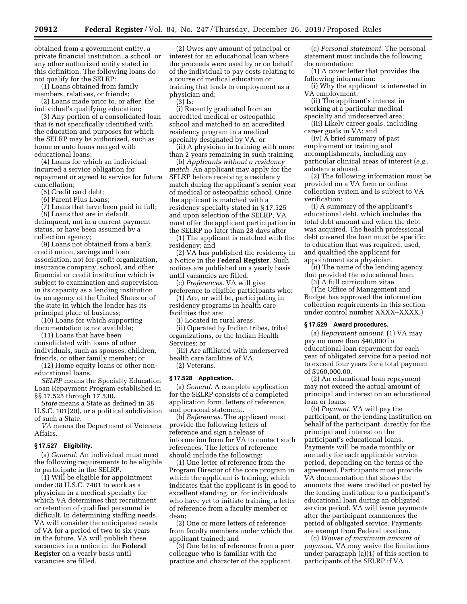obtained from a government entity, a private financial institution, a school, or any other authorized entity stated in this definition. The following loans do not qualify for the SELRP:

(1) Loans obtained from family members, relatives, or friends;

(2) Loans made prior to, or after, the individual's qualifying education;

(3) Any portion of a consolidated loan that is not specifically identified with the education and purposes for which the SELRP may be authorized, such as home or auto loans merged with educational loans;

(4) Loans for which an individual incurred a service obligation for repayment or agreed to service for future cancellation;

(5) Credit card debt;

(6) Parent Plus Loans;

(7) Loans that have been paid in full; (8) Loans that are in default,

delinquent, not in a current payment status, or have been assumed by a collection agency;

(9) Loans not obtained from a bank, credit union, savings and loan association, not-for-profit organization, insurance company, school, and other financial or credit institution which is subject to examination and supervision in its capacity as a lending institution by an agency of the United States or of the state in which the lender has its principal place of business;

(10) Loans for which supporting documentation is not available;

(11) Loans that have been consolidated with loans of other individuals, such as spouses, children, friends, or other family member; or

(12) Home equity loans or other noneducational loans.

*SELRP* means the Specialty Education Loan Repayment Program established in §§ 17.525 through 17.530.

*State* means a State as defined in 38 U.S.C. 101(20), or a political subdivision of such a State.

*VA* means the Department of Veterans Affairs.

## **§ 17.527 Eligibility.**

(a) *General.* An individual must meet the following requirements to be eligible to participate in the SELRP.

(1) Will be eligible for appointment under 38 U.S.C. 7401 to work as a physician in a medical specialty for which VA determines that recruitment or retention of qualified personnel is difficult. In determining staffing needs, VA will consider the anticipated needs of VA for a period of two to six years in the future. VA will publish these vacancies in a notice in the **Federal Register** on a yearly basis until vacancies are filled.

(2) Owes any amount of principal or interest for an educational loan where the proceeds were used by or on behalf of the individual to pay costs relating to a course of medical education or training that leads to employment as a physician and;

(3) Is:

(i) Recently graduated from an accredited medical or osteopathic school and matched to an accredited residency program in a medical specialty designated by VA; or

(ii) A physician in training with more than 2 years remaining in such training.

(b) *Applicants without a residency match.* An applicant may apply for the SELRP before receiving a residency match during the applicant's senior year of medical or osteopathic school. Once the applicant is matched with a residency specialty stated in § 17.525 and upon selection of the SELRP, VA must offer the applicant participation in the SELRP no later than 28 days after

(1) The applicant is matched with the residency; and

(2) VA has published the residency in a Notice in the **Federal Register**. Such notices are published on a yearly basis until vacancies are filled.

(c) *Preferences.* VA will give preference to eligible participants who:

(1) Are, or will be, participating in residency programs in health care facilities that are:

(i) Located in rural areas;

(ii) Operated by Indian tribes, tribal organizations, or the Indian Health Services; or

(iii) Are affiliated with underserved health care facilities of VA. (2) Veterans.

## **§ 17.528 Application.**

(a) *General.* A complete application for the SELRP consists of a completed application form, letters of reference, and personal statement.

(b) *References.* The applicant must provide the following letters of reference and sign a release of information form for VA to contact such references. The letters of reference should include the following:

(1) One letter of reference from the Program Director of the core program in which the applicant is training, which indicates that the applicant is in good to excellent standing, or, for individuals who have yet to initiate training, a letter of reference from a faculty member or dean;

(2) One or more letters of reference from faculty members under which the applicant trained; and

(3) One letter of reference from a peer colleague who is familiar with the practice and character of the applicant.

(c) *Personal statement.* The personal statement must include the following documentation:

(1) A cover letter that provides the following information:

(i) Why the applicant is interested in VA employment;

(ii) The applicant's interest in working at a particular medical specialty and underserved area;

(iii) Likely career goals, including career goals in VA; and

(iv) A brief summary of past employment or training and accomplishments, including any particular clinical areas of interest (*e.g.,*  substance abuse).

(2) The following information must be provided on a VA form or online collection system and is subject to VA verification:

(i) A summary of the applicant's educational debt, which includes the total debt amount and when the debt was acquired. The health professional debt covered the loan must be specific to education that was required, used, and qualified the applicant for appointment as a physician.

(ii) The name of the lending agency that provided the educational loan. (3) A full curriculum vitae.

(The Office of Management and Budget has approved the information collection requirements in this section under control number XXXX–XXXX.)

# **§ 17.529 Award procedures.**

(a) *Repayment amount.* (1) VA may pay no more than \$40,000 in educational loan repayment for each year of obligated service for a period not to exceed four years for a total payment of \$160,000.00.

(2) An educational loan repayment may not exceed the actual amount of principal and interest on an educational loan or loans.

(b) *Payment.* VA will pay the participant, or the lending institution on behalf of the participant, directly for the principal and interest on the participant's educational loans. Payments will be made monthly or annually for each applicable service period, depending on the terms of the agreement. Participants must provide VA documentation that shows the amounts that were credited or posted by the lending institution to a participant's educational loan during an obligated service period. VA will issue payments after the participant commences the period of obligated service. Payments are exempt from Federal taxation.

(c) *Waiver of maximum amount of payment.* VA may waive the limitations under paragraph (a)(1) of this section to participants of the SELRP if VA